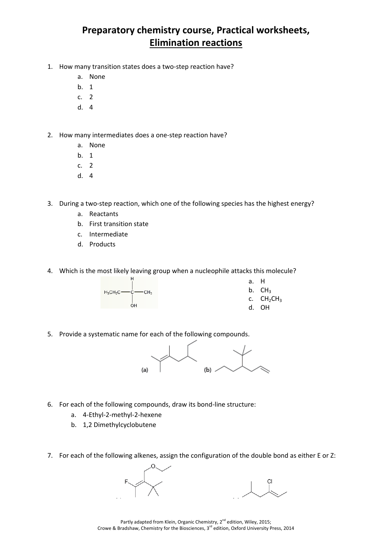## **Preparatory chemistry course, Practical worksheets, Elimination reactions**

- 1. How many transition states does a two‐step reaction have?
	- a. None
	- b. 1
	- c. 2
	- d. 4
- 2. How many intermediates does a one‐step reaction have?
	- a. None
	- b. 1
	- c. 2
	- d. 4
- 3. During a two-step reaction, which one of the following species has the highest energy?
	- a. Reactants
	- b. First transition state
	- c. Intermediate
	- d. Products
- 4. Which is the most likely leaving group when a nucleophile attacks this molecule?



- a. H
- b.  $CH<sub>3</sub>$
- c.  $CH<sub>2</sub>CH<sub>3</sub>$
- d. OH
- 5. Provide a systematic name for each of the following compounds.



- 6. For each of the following compounds, draw its bond‐line structure:
	- a. 4‐Ethyl‐2‐methyl‐2‐hexene
	- b. 1,2 Dimethylcyclobutene
- 7. For each of the following alkenes, assign the configuration of the double bond as either E or Z:

Partly adapted from Klein, Organic Chemistry, 2<sup>nd</sup> edition, Wiley, 2015; Crowe & Bradshaw, Chemistry for the Biosciences, 3<sup>rd</sup> edition, Oxford University Press, 2014